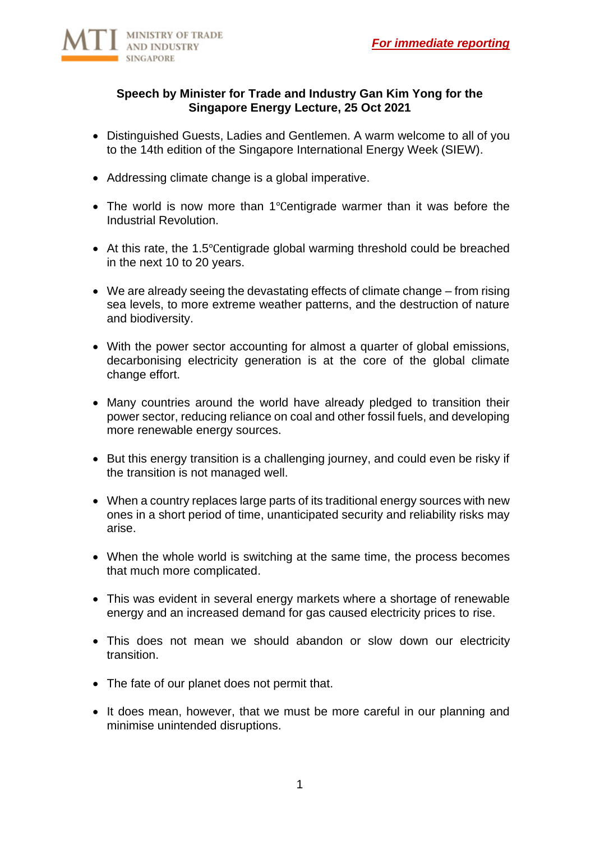

### **Speech by Minister for Trade and Industry Gan Kim Yong for the Singapore Energy Lecture, 25 Oct 2021**

- Distinguished Guests, Ladies and Gentlemen. A warm welcome to all of you to the 14th edition of the Singapore International Energy Week (SIEW).
- Addressing climate change is a global imperative.
- The world is now more than 1℃entigrade warmer than it was before the Industrial Revolution.
- At this rate, the 1.5℃entigrade global warming threshold could be breached in the next 10 to 20 years.
- We are already seeing the devastating effects of climate change from rising sea levels, to more extreme weather patterns, and the destruction of nature and biodiversity.
- With the power sector accounting for almost a quarter of global emissions, decarbonising electricity generation is at the core of the global climate change effort.
- Many countries around the world have already pledged to transition their power sector, reducing reliance on coal and other fossil fuels, and developing more renewable energy sources.
- But this energy transition is a challenging journey, and could even be risky if the transition is not managed well.
- When a country replaces large parts of its traditional energy sources with new ones in a short period of time, unanticipated security and reliability risks may arise.
- When the whole world is switching at the same time, the process becomes that much more complicated.
- This was evident in several energy markets where a shortage of renewable energy and an increased demand for gas caused electricity prices to rise.
- This does not mean we should abandon or slow down our electricity transition.
- The fate of our planet does not permit that.
- It does mean, however, that we must be more careful in our planning and minimise unintended disruptions.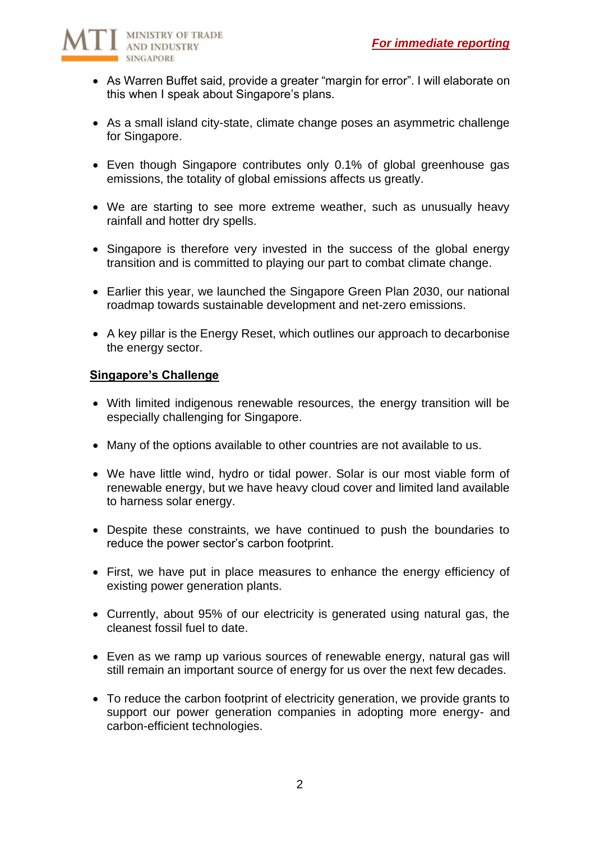

- As Warren Buffet said, provide a greater "margin for error". I will elaborate on this when I speak about Singapore's plans.
- As a small island city-state, climate change poses an asymmetric challenge for Singapore.
- Even though Singapore contributes only 0.1% of global greenhouse gas emissions, the totality of global emissions affects us greatly.
- We are starting to see more extreme weather, such as unusually heavy rainfall and hotter dry spells.
- Singapore is therefore very invested in the success of the global energy transition and is committed to playing our part to combat climate change.
- Earlier this year, we launched the Singapore Green Plan 2030, our national roadmap towards sustainable development and net-zero emissions.
- A key pillar is the Energy Reset, which outlines our approach to decarbonise the energy sector.

### **Singapore's Challenge**

- With limited indigenous renewable resources, the energy transition will be especially challenging for Singapore.
- Many of the options available to other countries are not available to us.
- We have little wind, hydro or tidal power. Solar is our most viable form of renewable energy, but we have heavy cloud cover and limited land available to harness solar energy.
- Despite these constraints, we have continued to push the boundaries to reduce the power sector's carbon footprint.
- First, we have put in place measures to enhance the energy efficiency of existing power generation plants.
- Currently, about 95% of our electricity is generated using natural gas, the cleanest fossil fuel to date.
- Even as we ramp up various sources of renewable energy, natural gas will still remain an important source of energy for us over the next few decades.
- To reduce the carbon footprint of electricity generation, we provide grants to support our power generation companies in adopting more energy- and carbon-efficient technologies.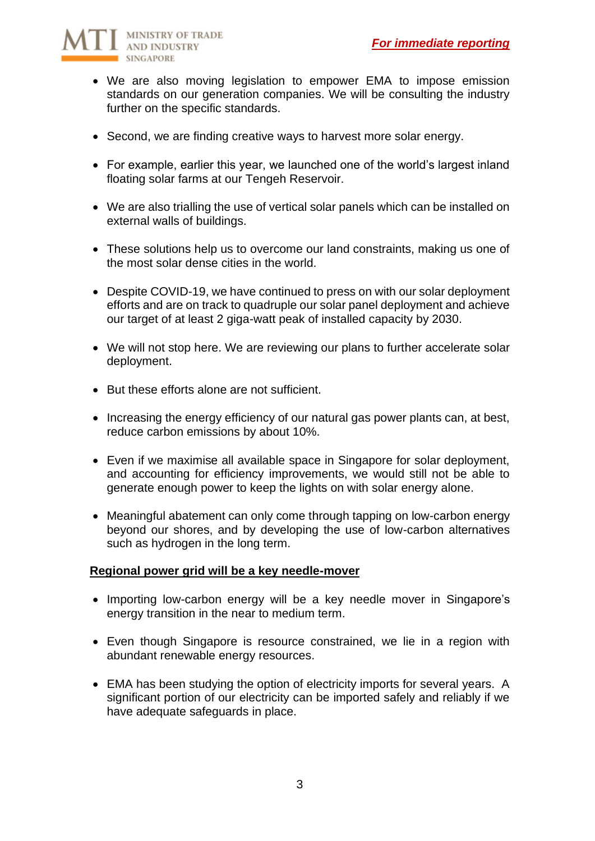

- We are also moving legislation to empower EMA to impose emission standards on our generation companies. We will be consulting the industry further on the specific standards.
- Second, we are finding creative ways to harvest more solar energy.
- For example, earlier this year, we launched one of the world's largest inland floating solar farms at our Tengeh Reservoir.
- We are also trialling the use of vertical solar panels which can be installed on external walls of buildings.
- These solutions help us to overcome our land constraints, making us one of the most solar dense cities in the world.
- Despite COVID-19, we have continued to press on with our solar deployment efforts and are on track to quadruple our solar panel deployment and achieve our target of at least 2 giga-watt peak of installed capacity by 2030.
- We will not stop here. We are reviewing our plans to further accelerate solar deployment.
- But these efforts alone are not sufficient.
- Increasing the energy efficiency of our natural gas power plants can, at best, reduce carbon emissions by about 10%.
- Even if we maximise all available space in Singapore for solar deployment, and accounting for efficiency improvements, we would still not be able to generate enough power to keep the lights on with solar energy alone.
- Meaningful abatement can only come through tapping on low-carbon energy beyond our shores, and by developing the use of low-carbon alternatives such as hydrogen in the long term.

### **Regional power grid will be a key needle-mover**

- Importing low-carbon energy will be a key needle mover in Singapore's energy transition in the near to medium term.
- Even though Singapore is resource constrained, we lie in a region with abundant renewable energy resources.
- EMA has been studying the option of electricity imports for several years. A significant portion of our electricity can be imported safely and reliably if we have adequate safeguards in place.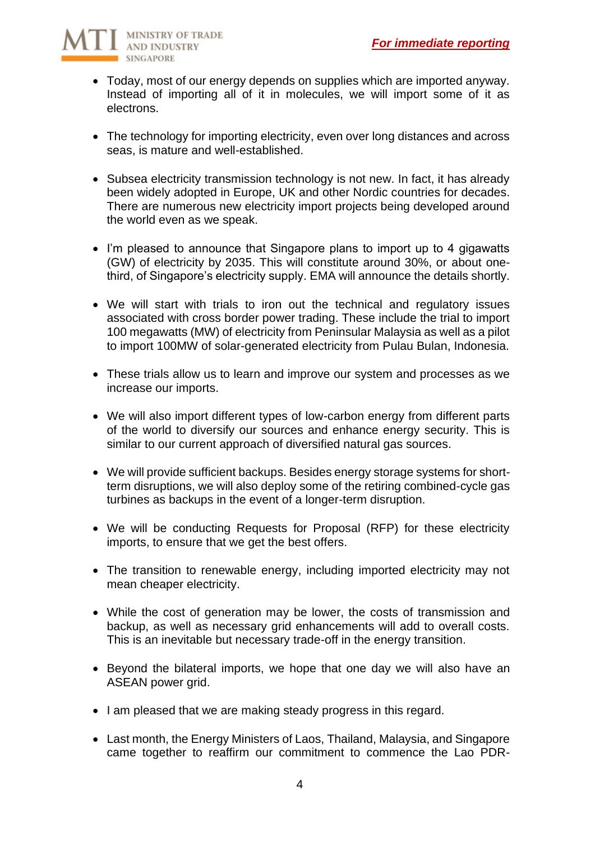

- Today, most of our energy depends on supplies which are imported anyway. Instead of importing all of it in molecules, we will import some of it as electrons.
- The technology for importing electricity, even over long distances and across seas, is mature and well-established.
- Subsea electricity transmission technology is not new. In fact, it has already been widely adopted in Europe, UK and other Nordic countries for decades. There are numerous new electricity import projects being developed around the world even as we speak.
- I'm pleased to announce that Singapore plans to import up to 4 gigawatts (GW) of electricity by 2035. This will constitute around 30%, or about onethird, of Singapore's electricity supply. EMA will announce the details shortly.
- We will start with trials to iron out the technical and regulatory issues associated with cross border power trading. These include the trial to import 100 megawatts (MW) of electricity from Peninsular Malaysia as well as a pilot to import 100MW of solar-generated electricity from Pulau Bulan, Indonesia.
- These trials allow us to learn and improve our system and processes as we increase our imports.
- We will also import different types of low-carbon energy from different parts of the world to diversify our sources and enhance energy security. This is similar to our current approach of diversified natural gas sources.
- We will provide sufficient backups. Besides energy storage systems for shortterm disruptions, we will also deploy some of the retiring combined-cycle gas turbines as backups in the event of a longer-term disruption.
- We will be conducting Requests for Proposal (RFP) for these electricity imports, to ensure that we get the best offers.
- The transition to renewable energy, including imported electricity may not mean cheaper electricity.
- While the cost of generation may be lower, the costs of transmission and backup, as well as necessary grid enhancements will add to overall costs. This is an inevitable but necessary trade-off in the energy transition.
- Beyond the bilateral imports, we hope that one day we will also have an ASEAN power grid.
- I am pleased that we are making steady progress in this regard.
- Last month, the Energy Ministers of Laos, Thailand, Malaysia, and Singapore came together to reaffirm our commitment to commence the Lao PDR-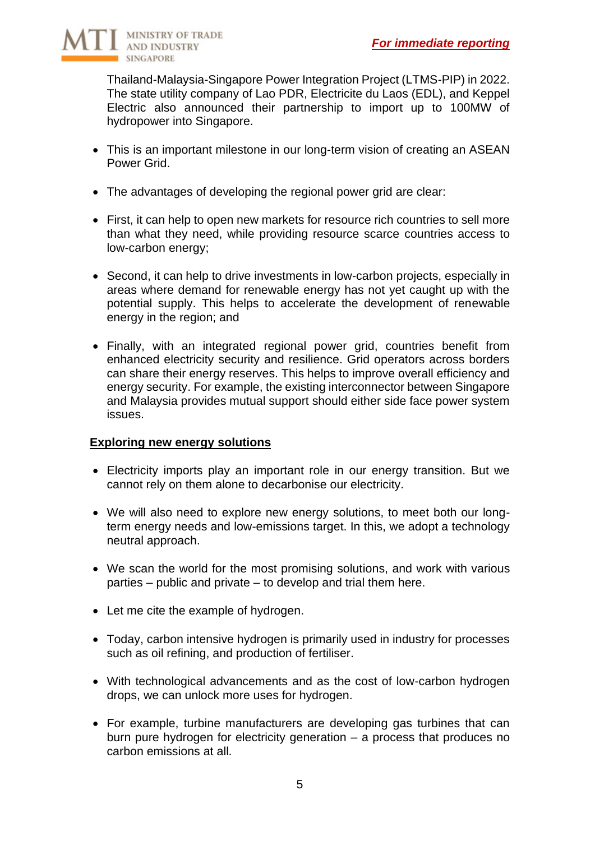

Thailand-Malaysia-Singapore Power Integration Project (LTMS-PIP) in 2022. The state utility company of Lao PDR, Electricite du Laos (EDL), and Keppel Electric also announced their partnership to import up to 100MW of hydropower into Singapore.

- This is an important milestone in our long-term vision of creating an ASEAN Power Grid.
- The advantages of developing the regional power grid are clear:
- First, it can help to open new markets for resource rich countries to sell more than what they need, while providing resource scarce countries access to low-carbon energy;
- Second, it can help to drive investments in low-carbon projects, especially in areas where demand for renewable energy has not yet caught up with the potential supply. This helps to accelerate the development of renewable energy in the region; and
- Finally, with an integrated regional power grid, countries benefit from enhanced electricity security and resilience. Grid operators across borders can share their energy reserves. This helps to improve overall efficiency and energy security. For example, the existing interconnector between Singapore and Malaysia provides mutual support should either side face power system issues.

### **Exploring new energy solutions**

- Electricity imports play an important role in our energy transition. But we cannot rely on them alone to decarbonise our electricity.
- We will also need to explore new energy solutions, to meet both our longterm energy needs and low-emissions target. In this, we adopt a technology neutral approach.
- We scan the world for the most promising solutions, and work with various parties – public and private – to develop and trial them here.
- Let me cite the example of hydrogen.
- Today, carbon intensive hydrogen is primarily used in industry for processes such as oil refining, and production of fertiliser.
- With technological advancements and as the cost of low-carbon hydrogen drops, we can unlock more uses for hydrogen.
- For example, turbine manufacturers are developing gas turbines that can burn pure hydrogen for electricity generation – a process that produces no carbon emissions at all.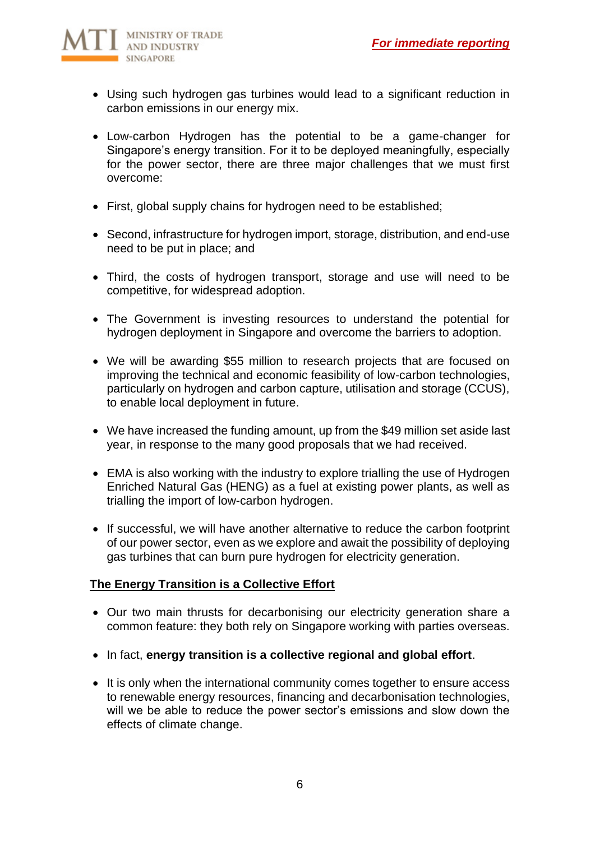

- Using such hydrogen gas turbines would lead to a significant reduction in carbon emissions in our energy mix.
- Low-carbon Hydrogen has the potential to be a game-changer for Singapore's energy transition. For it to be deployed meaningfully, especially for the power sector, there are three major challenges that we must first overcome:
- First, global supply chains for hydrogen need to be established;
- Second, infrastructure for hydrogen import, storage, distribution, and end-use need to be put in place; and
- Third, the costs of hydrogen transport, storage and use will need to be competitive, for widespread adoption.
- The Government is investing resources to understand the potential for hydrogen deployment in Singapore and overcome the barriers to adoption.
- We will be awarding \$55 million to research projects that are focused on improving the technical and economic feasibility of low-carbon technologies, particularly on hydrogen and carbon capture, utilisation and storage (CCUS), to enable local deployment in future.
- We have increased the funding amount, up from the \$49 million set aside last year, in response to the many good proposals that we had received.
- EMA is also working with the industry to explore trialling the use of Hydrogen Enriched Natural Gas (HENG) as a fuel at existing power plants, as well as trialling the import of low-carbon hydrogen.
- If successful, we will have another alternative to reduce the carbon footprint of our power sector, even as we explore and await the possibility of deploying gas turbines that can burn pure hydrogen for electricity generation.

# **The Energy Transition is a Collective Effort**

- Our two main thrusts for decarbonising our electricity generation share a common feature: they both rely on Singapore working with parties overseas.
- In fact, **energy transition is a collective regional and global effort**.
- It is only when the international community comes together to ensure access to renewable energy resources, financing and decarbonisation technologies, will we be able to reduce the power sector's emissions and slow down the effects of climate change.